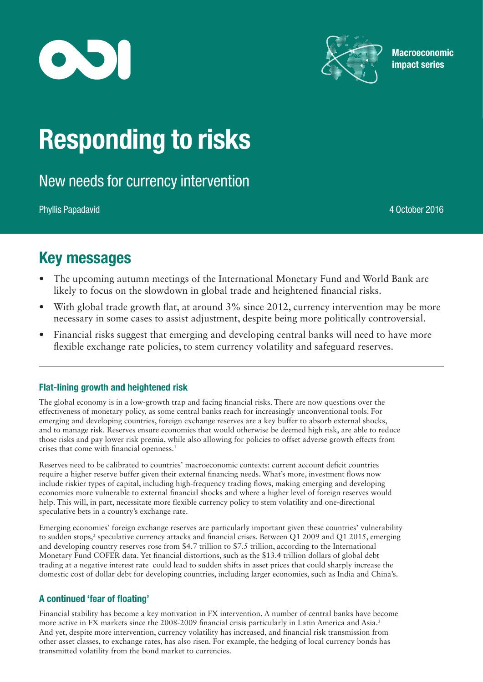



**Macroeconomic** impact series

# Responding to risks

New needs for currency intervention

Phyllis Papadavid 4 October 2016

## Key messages

- The upcoming autumn meetings of the International Monetary Fund and World Bank are likely to focus on the slowdown in global trade and heightened financial risks.
- With global trade growth flat, at around 3% since 2012, currency intervention may be more necessary in some cases to assist adjustment, despite being more politically controversial.
- Financial risks suggest that emerging and developing central banks will need to have more flexible exchange rate policies, to stem currency volatility and safeguard reserves.

#### Flat-lining growth and heightened risk

The global economy is in a low-growth trap and facing financial risks. There are now questions over the effectiveness of monetary policy, as some central banks reach for increasingly unconventional tools. For emerging and developing countries, foreign exchange reserves are a key buffer to absorb external shocks, and to manage risk. Reserves ensure economies that would otherwise be deemed high risk, are able to reduce those risks and pay lower risk premia, while also allowing for policies to offset adverse growth effects from crises that come with financial openness.1

Reserves need to be calibrated to countries' macroeconomic contexts: current account deficit countries require a higher reserve buffer given their external financing needs. What's more, investment flows now include riskier types of capital, including high-frequency trading flows, making emerging and developing economies more vulnerable to external financial shocks and where a higher level of foreign reserves would help. This will, in part, necessitate more flexible currency policy to stem volatility and one-directional speculative bets in a country's exchange rate.

Emerging economies' foreign exchange reserves are particularly important given these countries' vulnerability to sudden stops,<sup>2</sup> speculative currency attacks and financial crises. Between Q1 2009 and Q1 2015, emerging and developing country reserves rose from \$4.7 trillion to \$7.5 trillion, according to the International Monetary Fund COFER data. Yet financial distortions, such as the \$13.4 trillion dollars of global debt trading at a negative interest rate could lead to sudden shifts in asset prices that could sharply increase the domestic cost of dollar debt for developing countries, including larger economies, such as India and China's.

### A continued 'fear of floating'

Financial stability has become a key motivation in FX intervention. A number of central banks have become more active in FX markets since the 2008-2009 financial crisis particularly in Latin America and Asia.3 And yet, despite more intervention, currency volatility has increased, and financial risk transmission from other asset classes, to exchange rates, has also risen. For example, the hedging of local currency bonds has transmitted volatility from the bond market to currencies.